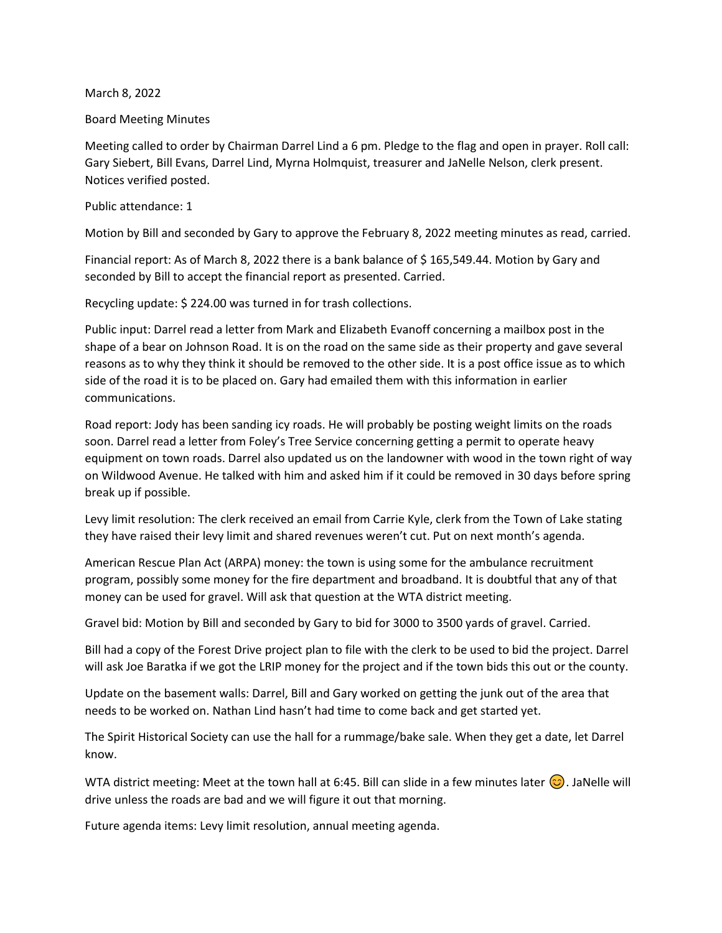## March 8, 2022

## Board Meeting Minutes

Meeting called to order by Chairman Darrel Lind a 6 pm. Pledge to the flag and open in prayer. Roll call: Gary Siebert, Bill Evans, Darrel Lind, Myrna Holmquist, treasurer and JaNelle Nelson, clerk present. Notices verified posted.

## Public attendance: 1

Motion by Bill and seconded by Gary to approve the February 8, 2022 meeting minutes as read, carried.

Financial report: As of March 8, 2022 there is a bank balance of \$ 165,549.44. Motion by Gary and seconded by Bill to accept the financial report as presented. Carried.

Recycling update: \$ 224.00 was turned in for trash collections.

Public input: Darrel read a letter from Mark and Elizabeth Evanoff concerning a mailbox post in the shape of a bear on Johnson Road. It is on the road on the same side as their property and gave several reasons as to why they think it should be removed to the other side. It is a post office issue as to which side of the road it is to be placed on. Gary had emailed them with this information in earlier communications.

Road report: Jody has been sanding icy roads. He will probably be posting weight limits on the roads soon. Darrel read a letter from Foley's Tree Service concerning getting a permit to operate heavy equipment on town roads. Darrel also updated us on the landowner with wood in the town right of way on Wildwood Avenue. He talked with him and asked him if it could be removed in 30 days before spring break up if possible.

Levy limit resolution: The clerk received an email from Carrie Kyle, clerk from the Town of Lake stating they have raised their levy limit and shared revenues weren't cut. Put on next month's agenda.

American Rescue Plan Act (ARPA) money: the town is using some for the ambulance recruitment program, possibly some money for the fire department and broadband. It is doubtful that any of that money can be used for gravel. Will ask that question at the WTA district meeting.

Gravel bid: Motion by Bill and seconded by Gary to bid for 3000 to 3500 yards of gravel. Carried.

Bill had a copy of the Forest Drive project plan to file with the clerk to be used to bid the project. Darrel will ask Joe Baratka if we got the LRIP money for the project and if the town bids this out or the county.

Update on the basement walls: Darrel, Bill and Gary worked on getting the junk out of the area that needs to be worked on. Nathan Lind hasn't had time to come back and get started yet.

The Spirit Historical Society can use the hall for a rummage/bake sale. When they get a date, let Darrel know.

WTA district meeting: Meet at the town hall at 6:45. Bill can slide in a few minutes later  $\circled{c}$ ). JaNelle will drive unless the roads are bad and we will figure it out that morning.

Future agenda items: Levy limit resolution, annual meeting agenda.